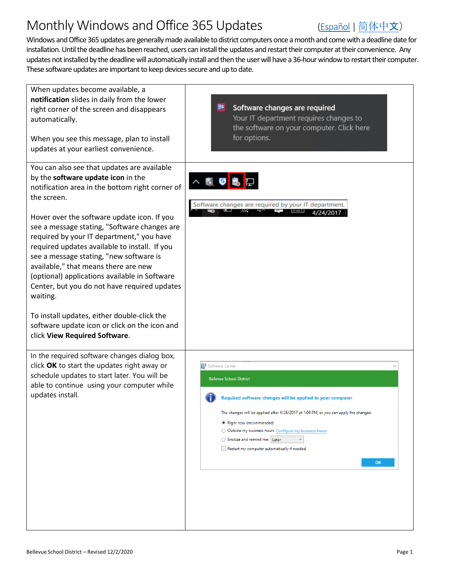## Monthly Windows and Office 365 Updates [\(Español](https://bsd405.org/wp-content/uploads/2020/12/BSD-Monthly-Windows-and-Office-365-Updates-Spanish.pdf) | 简[体中](https://bsd405.org/wp-content/uploads/2020/12/BSD-Monthly-Windows-and-Office-365-Updates-Chinese.pdf)文)



Windows and Office 365 updates are generally made available to district computers once a month and come with a deadline date for installation.Until the deadline has been reached, users can install the updates and restart their computer at their convenience. Any updates not installed by the deadline will automatically install and then the user will have a 36-hourwindow to restart their computer. These software updates are important to keep devices secure and up to date.

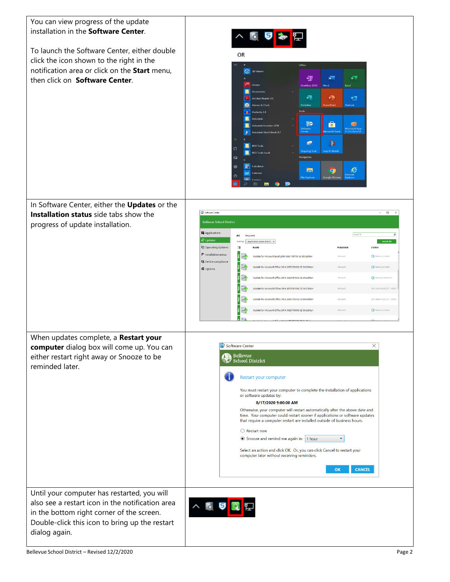